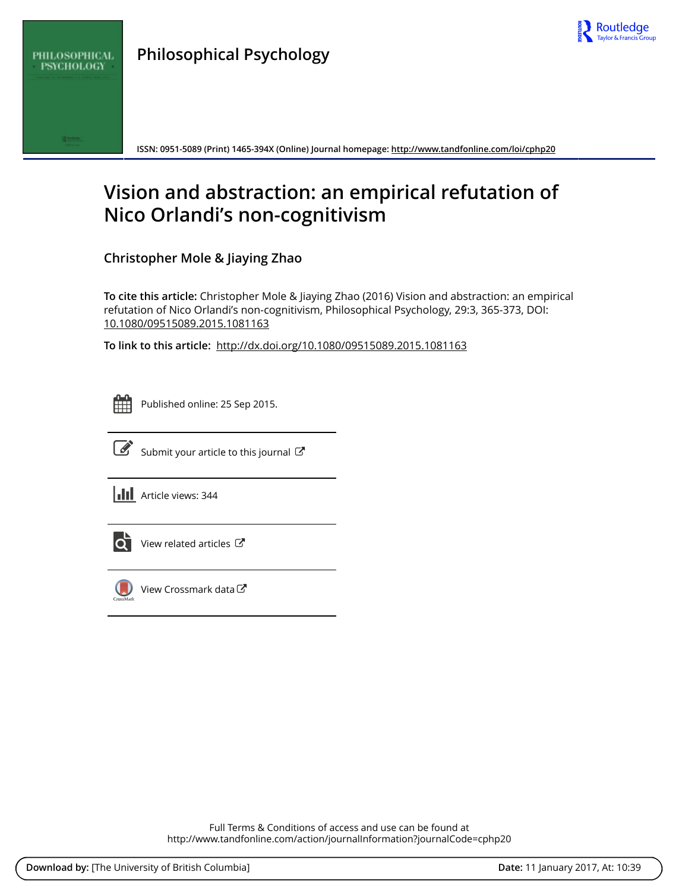



**ISSN: 0951-5089 (Print) 1465-394X (Online) Journal homepage: <http://www.tandfonline.com/loi/cphp20>**

# **Vision and abstraction: an empirical refutation of Nico Orlandi's non-cognitivism**

**Christopher Mole & Jiaying Zhao**

**To cite this article:** Christopher Mole & Jiaying Zhao (2016) Vision and abstraction: an empirical refutation of Nico Orlandi's non-cognitivism, Philosophical Psychology, 29:3, 365-373, DOI: [10.1080/09515089.2015.1081163](http://www.tandfonline.com/action/showCitFormats?doi=10.1080/09515089.2015.1081163)

**To link to this article:** <http://dx.doi.org/10.1080/09515089.2015.1081163>

| - | _<br><b>Service Service</b> | -<br><b>Service Service</b> |
|---|-----------------------------|-----------------------------|
|   |                             |                             |
|   |                             |                             |
|   |                             |                             |

Published online: 25 Sep 2015.



 $\overline{\mathscr{L}}$  [Submit your article to this journal](http://www.tandfonline.com/action/authorSubmission?journalCode=cphp20&show=instructions)  $\mathbb{Z}$ 

**III** Article views: 344



 $\overrightarrow{Q}$  [View related articles](http://www.tandfonline.com/doi/mlt/10.1080/09515089.2015.1081163)  $\overrightarrow{C}$ 



[View Crossmark data](http://crossmark.crossref.org/dialog/?doi=10.1080/09515089.2015.1081163&domain=pdf&date_stamp=2015-09-25)<sup>で</sup>

Full Terms & Conditions of access and use can be found at <http://www.tandfonline.com/action/journalInformation?journalCode=cphp20>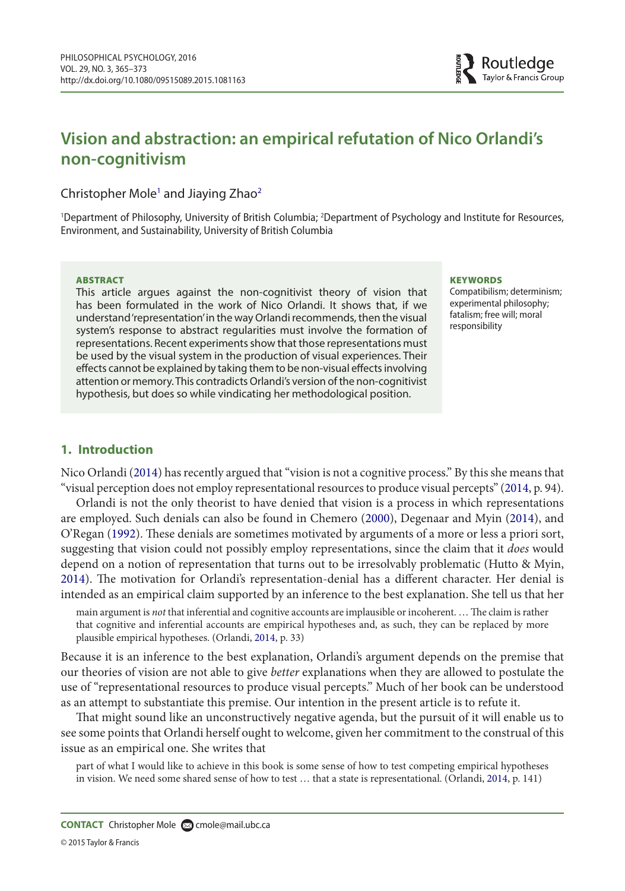

# **Vision and abstraction: an empirical refutation of Nico Orlandi's non-cognitivism**

# Christopher Mole<sup>[1](#page-1-0)</sup> and Jiaying Zhao<sup>2</sup>

<span id="page-1-1"></span><span id="page-1-0"></span><sup>1</sup>Department of Philosophy, University of British Columbia; <sup>2</sup>Department of Psychology and Institute for Resources, Environment, and Sustainability, University of British Columbia

#### **ARSTRACT**

This article argues against the non-cognitivist theory of vision that has been formulated in the work of Nico Orlandi. It shows that, if we understand 'representation' in the way Orlandi recommends, then the visual system's response to abstract regularities must involve the formation of representations. Recent experiments show that those representations must be used by the visual system in the production of visual experiences. Their effects cannot be explained by taking them to be non-visual effects involving attention or memory. This contradicts Orlandi's version of the non-cognitivist hypothesis, but does so while vindicating her methodological position.

#### **KEYWORDS**

<span id="page-1-3"></span><span id="page-1-2"></span>Compatibilism; determinism; experimental philosophy; fatalism; free will; moral responsibility

# **1. Introduction**

<span id="page-1-6"></span>Nico Orlandi [\(2014\)](#page-9-0) has recently argued that "vision is not a cognitive process." By this she means that "visual perception does not employ representational resources to produce visual percepts" ([2014](#page-9-0), p. 94).

<span id="page-1-5"></span>Orlandi is not the only theorist to have denied that vision is a process in which representations are employed. Such denials can also be found in Chemero [\(2000\)](#page-8-0), Degenaar and Myin ([2014\)](#page-8-1), and O'Regan ([1992](#page-9-1)). These denials are sometimes motivated by arguments of a more or less a priori sort, suggesting that vision could not possibly employ representations, since the claim that it *does* would depend on a notion of representation that turns out to be irresolvably problematic (Hutto & Myin, [2014](#page-9-2)). The motivation for Orlandi's representation-denial has a different character. Her denial is intended as an empirical claim supported by an inference to the best explanation. She tell us that her

<span id="page-1-4"></span>main argument is *not* that inferential and cognitive accounts are implausible or incoherent. … The claim is rather that cognitive and inferential accounts are empirical hypotheses and, as such, they can be replaced by more plausible empirical hypotheses. (Orlandi, [2014](#page-9-0), p. 33)

Because it is an inference to the best explanation, Orlandi's argument depends on the premise that our theories of vision are not able to give *better* explanations when they are allowed to postulate the use of "representational resources to produce visual percepts." Much of her book can be understood as an attempt to substantiate this premise. Our intention in the present article is to refute it.

That might sound like an unconstructively negative agenda, but the pursuit of it will enable us to see some points that Orlandi herself ought to welcome, given her commitment to the construal of this issue as an empirical one. She writes that

part of what I would like to achieve in this book is some sense of how to test competing empirical hypotheses in vision. We need some shared sense of how to test … that a state is representational. (Orlandi, [2014,](#page-9-0) p. 141)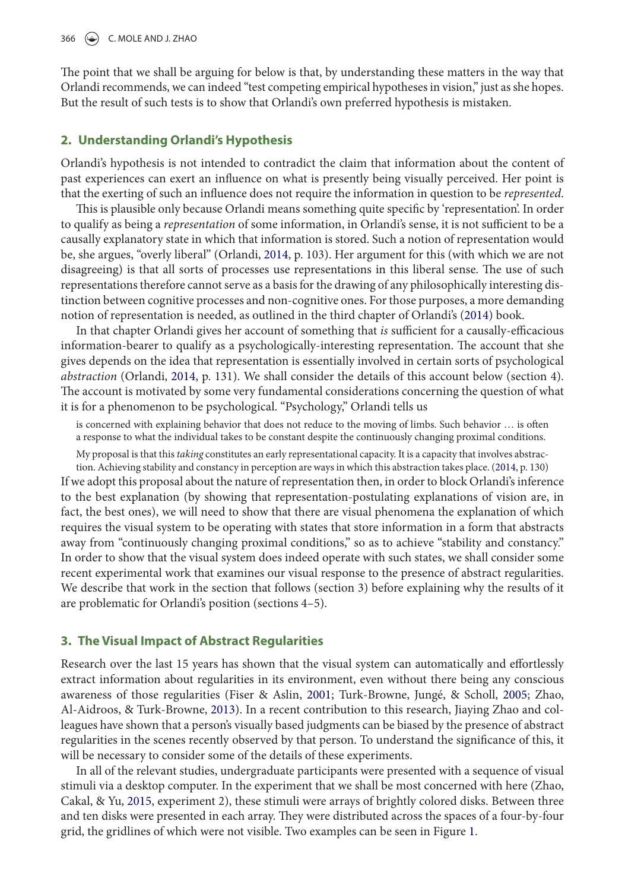The point that we shall be arguing for below is that, by understanding these matters in the way that Orlandi recommends, we can indeed "test competing empirical hypotheses in vision," just as she hopes. But the result of such tests is to show that Orlandi's own preferred hypothesis is mistaken.

# **2. Understanding Orlandi's Hypothesis**

Orlandi's hypothesis is not intended to contradict the claim that information about the content of past experiences can exert an influence on what is presently being visually perceived. Her point is that the exerting of such an influence does not require the information in question to be *represented*.

This is plausible only because Orlandi means something quite specific by 'representation'. In order to qualify as being a *representation* of some information, in Orlandi's sense, it is not sufficient to be a causally explanatory state in which that information is stored. Such a notion of representation would be, she argues, "overly liberal" (Orlandi, [2014,](#page-9-0) p. 103). Her argument for this (with which we are not disagreeing) is that all sorts of processes use representations in this liberal sense. The use of such representations therefore cannot serve as a basis for the drawing of any philosophically interesting distinction between cognitive processes and non-cognitive ones. For those purposes, a more demanding notion of representation is needed, as outlined in the third chapter of Orlandi's ([2014\)](#page-9-0) book.

In that chapter Orlandi gives her account of something that *is* sufficient for a causally-efficacious information-bearer to qualify as a psychologically-interesting representation. The account that she gives depends on the idea that representation is essentially involved in certain sorts of psychological *abstraction* (Orlandi, [2014](#page-9-0), p. 131). We shall consider the details of this account below (section 4). The account is motivated by some very fundamental considerations concerning the question of what it is for a phenomenon to be psychological. "Psychology," Orlandi tells us

is concerned with explaining behavior that does not reduce to the moving of limbs. Such behavior … is often a response to what the individual takes to be constant despite the continuously changing proximal conditions.

My proposal is that this *taking* constitutes an early representational capacity. It is a capacity that involves abstraction. Achieving stability and constancy in perception are ways in which this abstraction takes place. [\(2014](#page-9-0), p. 130)

If we adopt this proposal about the nature of representation then, in order to block Orlandi's inference to the best explanation (by showing that representation-postulating explanations of vision are, in fact, the best ones), we will need to show that there are visual phenomena the explanation of which requires the visual system to be operating with states that store information in a form that abstracts away from "continuously changing proximal conditions," so as to achieve "stability and constancy." In order to show that the visual system does indeed operate with such states, we shall consider some recent experimental work that examines our visual response to the presence of abstract regularities. We describe that work in the section that follows (section 3) before explaining why the results of it are problematic for Orlandi's position (sections 4–5).

### **3. The Visual Impact of Abstract Regularities**

<span id="page-2-2"></span><span id="page-2-1"></span><span id="page-2-0"></span>Research over the last 15 years has shown that the visual system can automatically and effortlessly extract information about regularities in its environment, even without there being any conscious awareness of those regularities (Fiser & Aslin, [2001;](#page-9-3) Turk-Browne, Jungé, & Scholl, [2005](#page-9-4); Zhao, Al-Aidroos, & Turk-Browne, [2013\)](#page-9-5). In a recent contribution to this research, Jiaying Zhao and colleagues have shown that a person's visually based judgments can be biased by the presence of abstract regularities in the scenes recently observed by that person. To understand the significance of this, it will be necessary to consider some of the details of these experiments.

<span id="page-2-3"></span>In all of the relevant studies, undergraduate participants were presented with a sequence of visual stimuli via a desktop computer. In the experiment that we shall be most concerned with here (Zhao, Cakal, & Yu, [2015,](#page-9-6) experiment 2), these stimuli were arrays of brightly colored disks. Between three and ten disks were presented in each array. They were distributed across the spaces of a four-by-four grid, the gridlines of which were not visible. Two examples can be seen in Figure [1.](#page-3-0)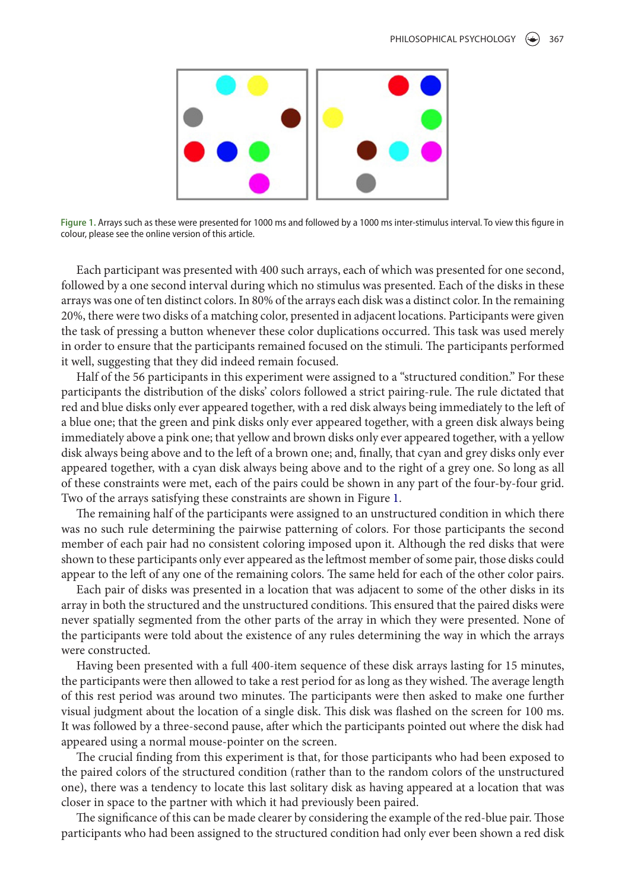

<span id="page-3-0"></span>**Figure 1.** Arrays such as these were presented for 1000 ms and followed by a 1000 ms inter-stimulus interval. To view this figure in colour, please see the online version of this article.

Each participant was presented with 400 such arrays, each of which was presented for one second, followed by a one second interval during which no stimulus was presented. Each of the disks in these arrays was one of ten distinct colors. In 80% of the arrays each disk was a distinct color. In the remaining 20%, there were two disks of a matching color, presented in adjacent locations. Participants were given the task of pressing a button whenever these color duplications occurred. This task was used merely in order to ensure that the participants remained focused on the stimuli. The participants performed it well, suggesting that they did indeed remain focused.

Half of the 56 participants in this experiment were assigned to a "structured condition." For these participants the distribution of the disks' colors followed a strict pairing-rule. The rule dictated that red and blue disks only ever appeared together, with a red disk always being immediately to the left of a blue one; that the green and pink disks only ever appeared together, with a green disk always being immediately above a pink one; that yellow and brown disks only ever appeared together, with a yellow disk always being above and to the left of a brown one; and, finally, that cyan and grey disks only ever appeared together, with a cyan disk always being above and to the right of a grey one. So long as all of these constraints were met, each of the pairs could be shown in any part of the four-by-four grid. Two of the arrays satisfying these constraints are shown in Figure [1](#page-3-0).

The remaining half of the participants were assigned to an unstructured condition in which there was no such rule determining the pairwise patterning of colors. For those participants the second member of each pair had no consistent coloring imposed upon it. Although the red disks that were shown to these participants only ever appeared as the leftmost member of some pair, those disks could appear to the left of any one of the remaining colors. The same held for each of the other color pairs.

Each pair of disks was presented in a location that was adjacent to some of the other disks in its array in both the structured and the unstructured conditions. This ensured that the paired disks were never spatially segmented from the other parts of the array in which they were presented. None of the participants were told about the existence of any rules determining the way in which the arrays were constructed.

Having been presented with a full 400-item sequence of these disk arrays lasting for 15 minutes, the participants were then allowed to take a rest period for as long as they wished. The average length of this rest period was around two minutes. The participants were then asked to make one further visual judgment about the location of a single disk. This disk was flashed on the screen for 100 ms. It was followed by a three-second pause, after which the participants pointed out where the disk had appeared using a normal mouse-pointer on the screen.

The crucial finding from this experiment is that, for those participants who had been exposed to the paired colors of the structured condition (rather than to the random colors of the unstructured one), there was a tendency to locate this last solitary disk as having appeared at a location that was closer in space to the partner with which it had previously been paired.

The significance of this can be made clearer by considering the example of the red-blue pair. Those participants who had been assigned to the structured condition had only ever been shown a red disk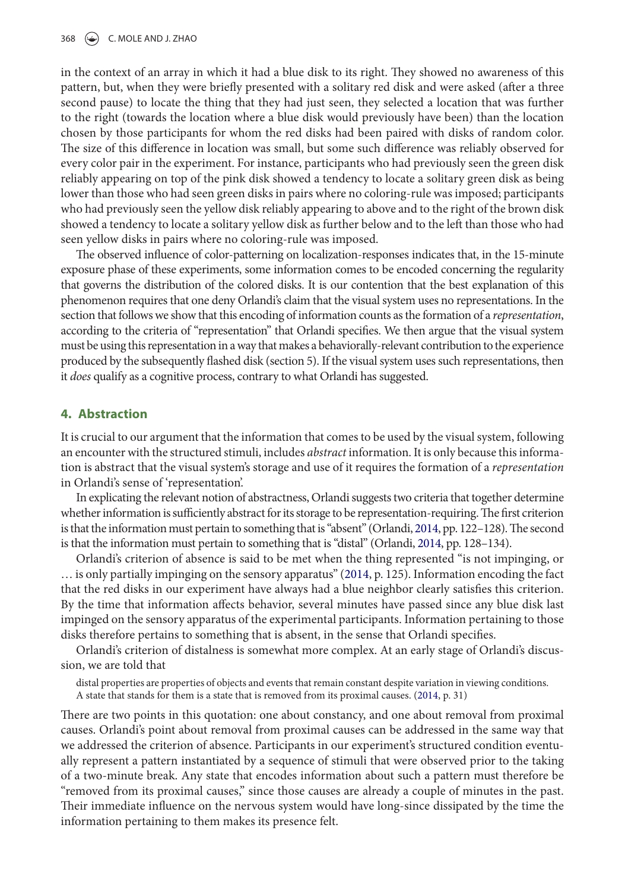in the context of an array in which it had a blue disk to its right. They showed no awareness of this pattern, but, when they were briefly presented with a solitary red disk and were asked (after a three second pause) to locate the thing that they had just seen, they selected a location that was further to the right (towards the location where a blue disk would previously have been) than the location chosen by those participants for whom the red disks had been paired with disks of random color. The size of this difference in location was small, but some such difference was reliably observed for every color pair in the experiment. For instance, participants who had previously seen the green disk reliably appearing on top of the pink disk showed a tendency to locate a solitary green disk as being lower than those who had seen green disks in pairs where no coloring-rule was imposed; participants who had previously seen the yellow disk reliably appearing to above and to the right of the brown disk showed a tendency to locate a solitary yellow disk as further below and to the left than those who had seen yellow disks in pairs where no coloring-rule was imposed.

The observed influence of color-patterning on localization-responses indicates that, in the 15-minute exposure phase of these experiments, some information comes to be encoded concerning the regularity that governs the distribution of the colored disks. It is our contention that the best explanation of this phenomenon requires that one deny Orlandi's claim that the visual system uses no representations. In the section that follows we show that this encoding of information counts as the formation of a *representation*, according to the criteria of "representation" that Orlandi specifies. We then argue that the visual system must be using this representation in a way that makes a behaviorally-relevant contribution to the experience produced by the subsequently flashed disk (section 5). If the visual system uses such representations, then it *does* qualify as a cognitive process, contrary to what Orlandi has suggested.

# **4. Abstraction**

It is crucial to our argument that the information that comes to be used by the visual system, following an encounter with the structured stimuli, includes *abstract* information. It is only because this information is abstract that the visual system's storage and use of it requires the formation of a *representation* in Orlandi's sense of 'representation'.

In explicating the relevant notion of abstractness, Orlandi suggests two criteria that together determine whether information is sufficiently abstract for its storage to be representation-requiring. The first criterion is that the information must pertain to something that is "absent" (Orlandi, [2014,](#page-9-0) pp. 122–128). The second is that the information must pertain to something that is "distal" (Orlandi, [2014](#page-9-0), pp. 128–134).

Orlandi's criterion of absence is said to be met when the thing represented "is not impinging, or … is only partially impinging on the sensory apparatus" [\(2014](#page-9-0), p. 125). Information encoding the fact that the red disks in our experiment have always had a blue neighbor clearly satisfies this criterion. By the time that information affects behavior, several minutes have passed since any blue disk last impinged on the sensory apparatus of the experimental participants. Information pertaining to those disks therefore pertains to something that is absent, in the sense that Orlandi specifies.

Orlandi's criterion of distalness is somewhat more complex. At an early stage of Orlandi's discussion, we are told that

distal properties are properties of objects and events that remain constant despite variation in viewing conditions. A state that stands for them is a state that is removed from its proximal causes. ([2014,](#page-9-0) p. 31)

There are two points in this quotation: one about constancy, and one about removal from proximal causes. Orlandi's point about removal from proximal causes can be addressed in the same way that we addressed the criterion of absence. Participants in our experiment's structured condition eventually represent a pattern instantiated by a sequence of stimuli that were observed prior to the taking of a two-minute break. Any state that encodes information about such a pattern must therefore be "removed from its proximal causes," since those causes are already a couple of minutes in the past. Their immediate influence on the nervous system would have long-since dissipated by the time the information pertaining to them makes its presence felt.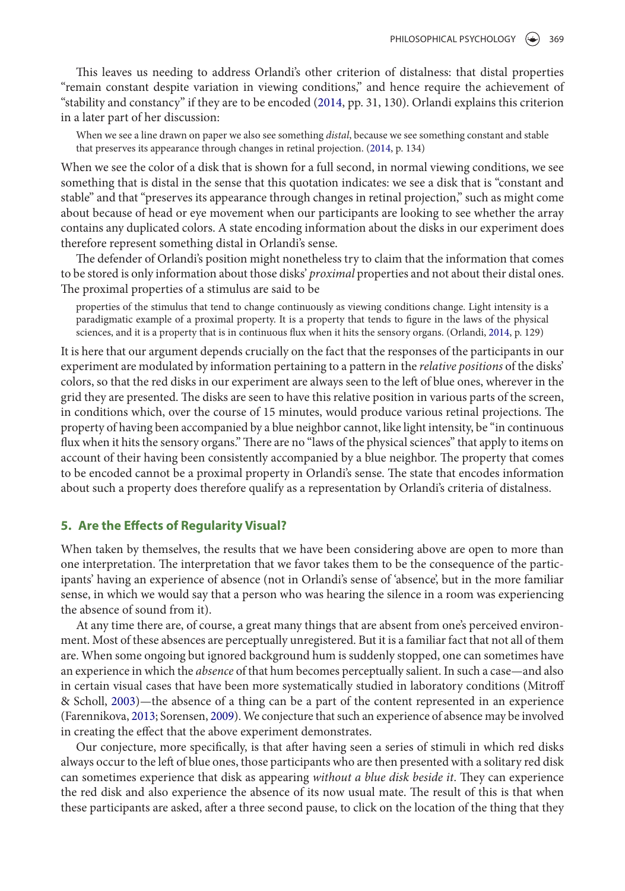This leaves us needing to address Orlandi's other criterion of distalness: that distal properties "remain constant despite variation in viewing conditions," and hence require the achievement of "stability and constancy" if they are to be encoded ([2014](#page-9-0), pp. 31, 130). Orlandi explains this criterion in a later part of her discussion:

When we see a line drawn on paper we also see something *distal*, because we see something constant and stable that preserves its appearance through changes in retinal projection. [\(2014](#page-9-0), p. 134)

When we see the color of a disk that is shown for a full second, in normal viewing conditions, we see something that is distal in the sense that this quotation indicates: we see a disk that is "constant and stable" and that "preserves its appearance through changes in retinal projection," such as might come about because of head or eye movement when our participants are looking to see whether the array contains any duplicated colors. A state encoding information about the disks in our experiment does therefore represent something distal in Orlandi's sense.

The defender of Orlandi's position might nonetheless try to claim that the information that comes to be stored is only information about those disks' *proximal* properties and not about their distal ones. The proximal properties of a stimulus are said to be

properties of the stimulus that tend to change continuously as viewing conditions change. Light intensity is a paradigmatic example of a proximal property. It is a property that tends to figure in the laws of the physical sciences, and it is a property that is in continuous flux when it hits the sensory organs. (Orlandi, [2014](#page-9-0), p. 129)

It is here that our argument depends crucially on the fact that the responses of the participants in our experiment are modulated by information pertaining to a pattern in the *relative positions* of the disks' colors, so that the red disks in our experiment are always seen to the left of blue ones, wherever in the grid they are presented. The disks are seen to have this relative position in various parts of the screen, in conditions which, over the course of 15 minutes, would produce various retinal projections. The property of having been accompanied by a blue neighbor cannot, like light intensity, be "in continuous flux when it hits the sensory organs." There are no "laws of the physical sciences" that apply to items on account of their having been consistently accompanied by a blue neighbor. The property that comes to be encoded cannot be a proximal property in Orlandi's sense. The state that encodes information about such a property does therefore qualify as a representation by Orlandi's criteria of distalness.

### **5. Are the Effects of Regularity Visual?**

When taken by themselves, the results that we have been considering above are open to more than one interpretation. The interpretation that we favor takes them to be the consequence of the participants' having an experience of absence (not in Orlandi's sense of 'absence', but in the more familiar sense, in which we would say that a person who was hearing the silence in a room was experiencing the absence of sound from it).

At any time there are, of course, a great many things that are absent from one's perceived environment. Most of these absences are perceptually unregistered. But it is a familiar fact that not all of them are. When some ongoing but ignored background hum is suddenly stopped, one can sometimes have an experience in which the *absence* of that hum becomes perceptually salient. In such a case—and also in certain visual cases that have been more systematically studied in laboratory conditions (Mitroff & Scholl, [2003](#page-9-7))—the absence of a thing can be a part of the content represented in an experience (Farennikova, [2013;](#page-9-8) Sorensen, [2009\)](#page-9-9). We conjecture that such an experience of absence may be involved in creating the effect that the above experiment demonstrates.

<span id="page-5-2"></span><span id="page-5-1"></span><span id="page-5-0"></span>Our conjecture, more specifically, is that after having seen a series of stimuli in which red disks always occur to the left of blue ones, those participants who are then presented with a solitary red disk can sometimes experience that disk as appearing *without a blue disk beside it*. They can experience the red disk and also experience the absence of its now usual mate. The result of this is that when these participants are asked, after a three second pause, to click on the location of the thing that they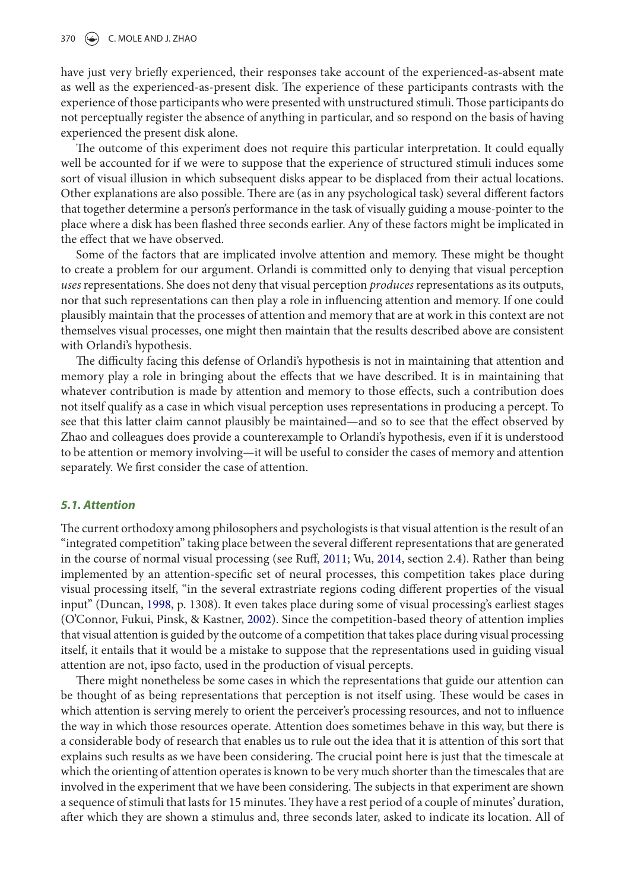have just very briefly experienced, their responses take account of the experienced-as-absent mate as well as the experienced-as-present disk. The experience of these participants contrasts with the experience of those participants who were presented with unstructured stimuli. Those participants do not perceptually register the absence of anything in particular, and so respond on the basis of having experienced the present disk alone.

The outcome of this experiment does not require this particular interpretation. It could equally well be accounted for if we were to suppose that the experience of structured stimuli induces some sort of visual illusion in which subsequent disks appear to be displaced from their actual locations. Other explanations are also possible. There are (as in any psychological task) several different factors that together determine a person's performance in the task of visually guiding a mouse-pointer to the place where a disk has been flashed three seconds earlier. Any of these factors might be implicated in the effect that we have observed.

Some of the factors that are implicated involve attention and memory. These might be thought to create a problem for our argument. Orlandi is committed only to denying that visual perception *uses* representations. She does not deny that visual perception *produces* representations as its outputs, nor that such representations can then play a role in influencing attention and memory. If one could plausibly maintain that the processes of attention and memory that are at work in this context are not themselves visual processes, one might then maintain that the results described above are consistent with Orlandi's hypothesis.

The difficulty facing this defense of Orlandi's hypothesis is not in maintaining that attention and memory play a role in bringing about the effects that we have described. It is in maintaining that whatever contribution is made by attention and memory to those effects, such a contribution does not itself qualify as a case in which visual perception uses representations in producing a percept. To see that this latter claim cannot plausibly be maintained—and so to see that the effect observed by Zhao and colleagues does provide a counterexample to Orlandi's hypothesis, even if it is understood to be attention or memory involving—it will be useful to consider the cases of memory and attention separately. We first consider the case of attention.

# *5.1. Attention*

<span id="page-6-3"></span><span id="page-6-2"></span><span id="page-6-0"></span>The current orthodoxy among philosophers and psychologists is that visual attention is the result of an "integrated competition" taking place between the several different representations that are generated in the course of normal visual processing (see Ruff, [2011](#page-9-10); Wu, [2014](#page-9-11), section 2.4). Rather than being implemented by an attention-specific set of neural processes, this competition takes place during visual processing itself, "in the several extrastriate regions coding different properties of the visual input" (Duncan, [1998](#page-9-12), p. 1308). It even takes place during some of visual processing's earliest stages (O'Connor, Fukui, Pinsk, & Kastner, [2002](#page-9-13)). Since the competition-based theory of attention implies that visual attention is guided by the outcome of a competition that takes place during visual processing itself, it entails that it would be a mistake to suppose that the representations used in guiding visual attention are not, ipso facto, used in the production of visual percepts.

<span id="page-6-1"></span>There might nonetheless be some cases in which the representations that guide our attention can be thought of as being representations that perception is not itself using. These would be cases in which attention is serving merely to orient the perceiver's processing resources, and not to influence the way in which those resources operate. Attention does sometimes behave in this way, but there is a considerable body of research that enables us to rule out the idea that it is attention of this sort that explains such results as we have been considering. The crucial point here is just that the timescale at which the orienting of attention operates is known to be very much shorter than the timescales that are involved in the experiment that we have been considering. The subjects in that experiment are shown a sequence of stimuli that lasts for 15 minutes. They have a rest period of a couple of minutes' duration, after which they are shown a stimulus and, three seconds later, asked to indicate its location. All of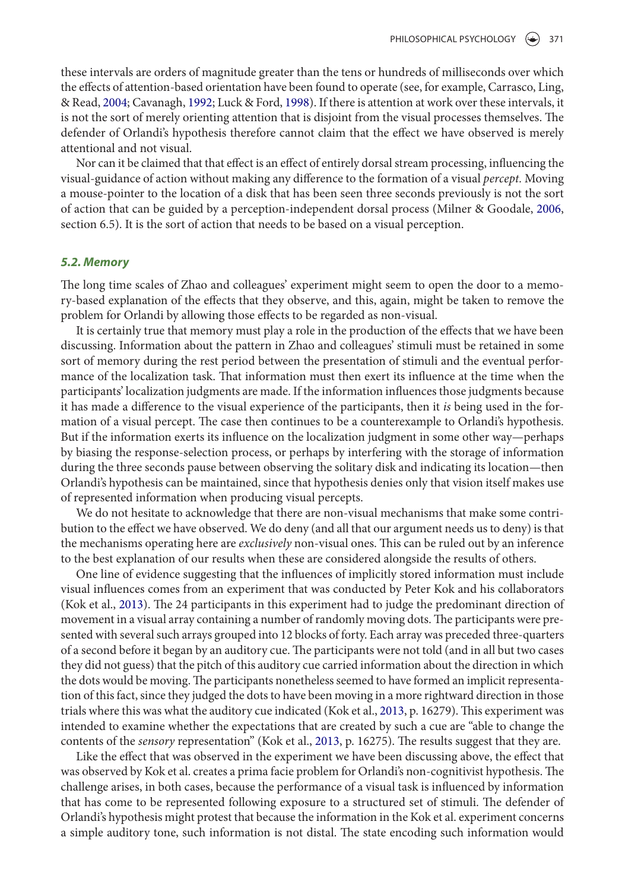<span id="page-7-2"></span><span id="page-7-1"></span><span id="page-7-0"></span>these intervals are orders of magnitude greater than the tens or hundreds of milliseconds over which the effects of attention-based orientation have been found to operate (see, for example, Carrasco, Ling, & Read, [2004](#page-8-2); Cavanagh, [1992;](#page-8-3) Luck & Ford, [1998](#page-9-14)). If there is attention at work over these intervals, it is not the sort of merely orienting attention that is disjoint from the visual processes themselves. The defender of Orlandi's hypothesis therefore cannot claim that the effect we have observed is merely attentional and not visual.

<span id="page-7-3"></span>Nor can it be claimed that that effect is an effect of entirely dorsal stream processing, influencing the visual-guidance of action without making any difference to the formation of a visual *percept.* Moving a mouse-pointer to the location of a disk that has been seen three seconds previously is not the sort of action that can be guided by a perception-independent dorsal process (Milner & Goodale, [2006,](#page-9-15) section 6.5). It is the sort of action that needs to be based on a visual perception.

#### *5.2. Memory*

The long time scales of Zhao and colleagues' experiment might seem to open the door to a memory-based explanation of the effects that they observe, and this, again, might be taken to remove the problem for Orlandi by allowing those effects to be regarded as non-visual.

It is certainly true that memory must play a role in the production of the effects that we have been discussing. Information about the pattern in Zhao and colleagues' stimuli must be retained in some sort of memory during the rest period between the presentation of stimuli and the eventual performance of the localization task. That information must then exert its influence at the time when the participants' localization judgments are made. If the information influences those judgments because it has made a difference to the visual experience of the participants, then it *is* being used in the formation of a visual percept. The case then continues to be a counterexample to Orlandi's hypothesis. But if the information exerts its influence on the localization judgment in some other way—perhaps by biasing the response-selection process, or perhaps by interfering with the storage of information during the three seconds pause between observing the solitary disk and indicating its location—then Orlandi's hypothesis can be maintained, since that hypothesis denies only that vision itself makes use of represented information when producing visual percepts.

We do not hesitate to acknowledge that there are non-visual mechanisms that make some contribution to the effect we have observed. We do deny (and all that our argument needs us to deny) is that the mechanisms operating here are *exclusively* non-visual ones. This can be ruled out by an inference to the best explanation of our results when these are considered alongside the results of others.

One line of evidence suggesting that the influences of implicitly stored information must include visual influences comes from an experiment that was conducted by Peter Kok and his collaborators (Kok et al., 2013). The 24 participants in this experiment had to judge the predominant direction of movement in a visual array containing a number of randomly moving dots. The participants were presented with several such arrays grouped into 12 blocks of forty. Each array was preceded three-quarters of a second before it began by an auditory cue. The participants were not told (and in all but two cases they did not guess) that the pitch of this auditory cue carried information about the direction in which the dots would be moving. The participants nonetheless seemed to have formed an implicit representation of this fact, since they judged the dots to have been moving in a more rightward direction in those trials where this was what the auditory cue indicated (Kok et al., 2013, p. 16279). This experiment was intended to examine whether the expectations that are created by such a cue are "able to change the contents of the *sensory* representation" (Kok et al., 2013, p. 16275). The results suggest that they are.

Like the effect that was observed in the experiment we have been discussing above, the effect that was observed by Kok et al. creates a prima facie problem for Orlandi's non-cognitivist hypothesis. The challenge arises, in both cases, because the performance of a visual task is influenced by information that has come to be represented following exposure to a structured set of stimuli. The defender of Orlandi's hypothesis might protest that because the information in the Kok et al. experiment concerns a simple auditory tone, such information is not distal. The state encoding such information would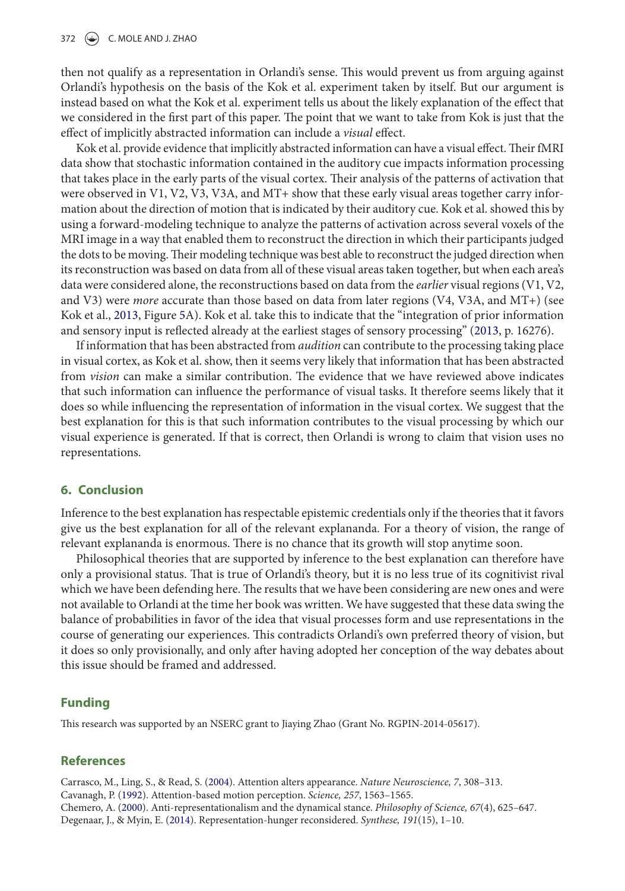then not qualify as a representation in Orlandi's sense. This would prevent us from arguing against Orlandi's hypothesis on the basis of the Kok et al. experiment taken by itself. But our argument is instead based on what the Kok et al. experiment tells us about the likely explanation of the effect that we considered in the first part of this paper. The point that we want to take from Kok is just that the effect of implicitly abstracted information can include a *visual* effect.

Kok et al. provide evidence that implicitly abstracted information can have a visual effect. Their fMRI data show that stochastic information contained in the auditory cue impacts information processing that takes place in the early parts of the visual cortex. Their analysis of the patterns of activation that were observed in V1, V2, V3, V3A, and MT+ show that these early visual areas together carry information about the direction of motion that is indicated by their auditory cue. Kok et al. showed this by using a forward-modeling technique to analyze the patterns of activation across several voxels of the MRI image in a way that enabled them to reconstruct the direction in which their participants judged the dots to be moving. Their modeling technique was best able to reconstruct the judged direction when its reconstruction was based on data from all of these visual areas taken together, but when each area's data were considered alone, the reconstructions based on data from the *earlier* visual regions (V1, V2, and V3) were *more* accurate than those based on data from later regions (V4, V3A, and MT+) (see Kok et al., 2013, Figure 5A). Kok et al. take this to indicate that the "integration of prior information and sensory input is reflected already at the earliest stages of sensory processing" (2013, p. 16276).

If information that has been abstracted from *audition* can contribute to the processing taking place in visual cortex, as Kok et al. show, then it seems very likely that information that has been abstracted from *vision* can make a similar contribution. The evidence that we have reviewed above indicates that such information can influence the performance of visual tasks. It therefore seems likely that it does so while influencing the representation of information in the visual cortex. We suggest that the best explanation for this is that such information contributes to the visual processing by which our visual experience is generated. If that is correct, then Orlandi is wrong to claim that vision uses no representations.

# **6. Conclusion**

Inference to the best explanation has respectable epistemic credentials only if the theories that it favors give us the best explanation for all of the relevant explananda. For a theory of vision, the range of relevant explananda is enormous. There is no chance that its growth will stop anytime soon.

Philosophical theories that are supported by inference to the best explanation can therefore have only a provisional status. That is true of Orlandi's theory, but it is no less true of its cognitivist rival which we have been defending here. The results that we have been considering are new ones and were not available to Orlandi at the time her book was written. We have suggested that these data swing the balance of probabilities in favor of the idea that visual processes form and use representations in the course of generating our experiences. This contradicts Orlandi's own preferred theory of vision, but it does so only provisionally, and only after having adopted her conception of the way debates about this issue should be framed and addressed.

## **Funding**

This research was supported by an NSERC grant to Jiaying Zhao (Grant No. RGPIN-2014-05617).

# **References**

<span id="page-8-3"></span><span id="page-8-2"></span><span id="page-8-1"></span><span id="page-8-0"></span>Carrasco, M., Ling, S., & Read, S. ([2004\)](#page-7-0). Attention alters appearance. *Nature Neuroscience, 7*, 308–313. Cavanagh, P. [\(1992](#page-7-1)). Attention-based motion perception. *Science, 257*, 1563–1565. Chemero, A. [\(2000](#page-1-2)). Anti-representationalism and the dynamical stance. *Philosophy of Science, 67*(4), 625–647. Degenaar, J., & Myin, E. ([2014](#page-1-3)). Representation-hunger reconsidered. *Synthese, 191*(15), 1–10.